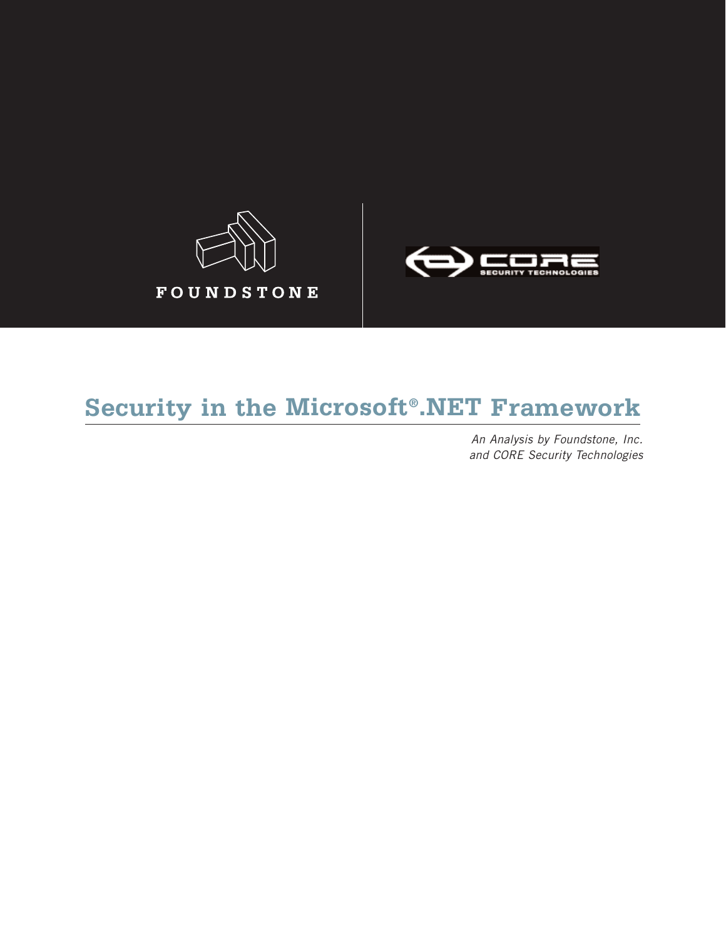



# **Security in the Microsoft®.NET Framework**

*An Analysis by Foundstone, Inc. and CORE Security Technologies*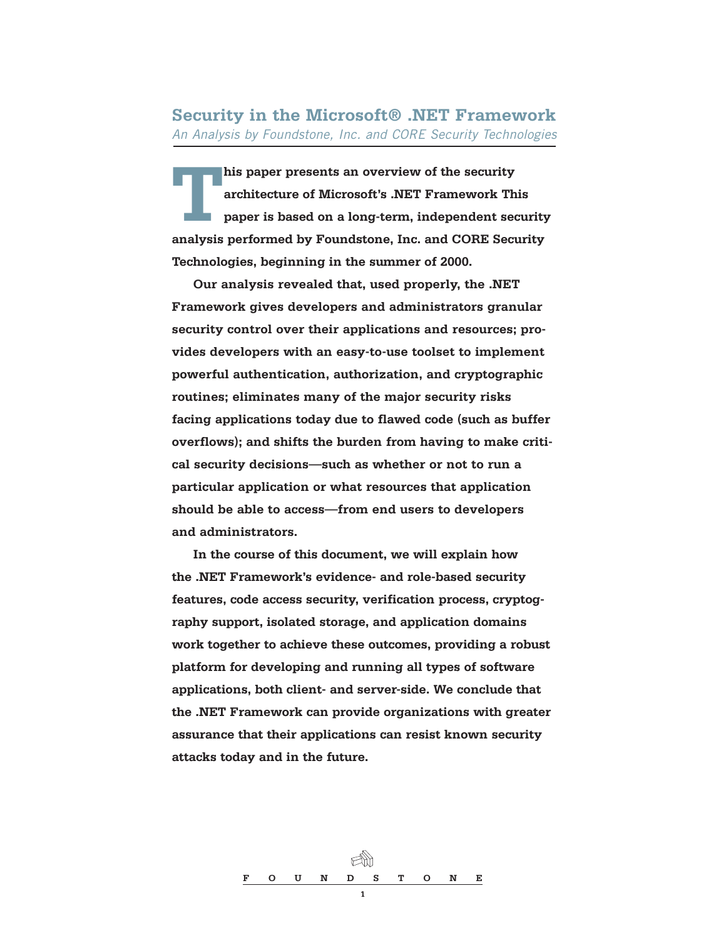**Security in the Microsoft® .NET Framework** *An Analysis by Foundstone, Inc. and CORE Security Technologies*

**This paper presents an overview of the security architecture of Microsoft's .NET Framework This paper is based on a long-term, independent security analysis performed by Foundstone, Inc. and CORE Security Technologies, beginning in the summer of 2000.** 

**Our analysis revealed that, used properly, the .NET Framework gives developers and administrators granular security control over their applications and resources; provides developers with an easy-to-use toolset to implement powerful authentication, authorization, and cryptographic routines; eliminates many of the major security risks facing applications today due to flawed code (such as buffer overflows); and shifts the burden from having to make critical security decisions—such as whether or not to run a particular application or what resources that application should be able to access—from end users to developers and administrators.**

**In the course of this document, we will explain how the .NET Framework's evidence- and role-based security features, code access security, verification process, cryptography support, isolated storage, and application domains work together to achieve these outcomes, providing a robust platform for developing and running all types of software applications, both client- and server-side. We conclude that the .NET Framework can provide organizations with greater assurance that their applications can resist known security attacks today and in the future.**

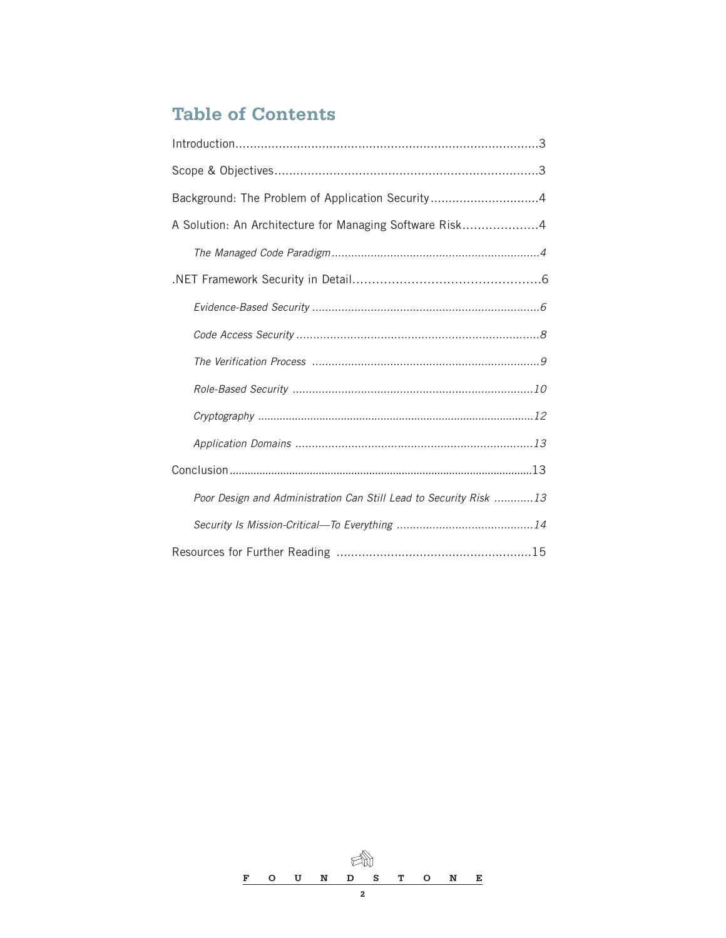## **Table of Contents**

| Background: The Problem of Application Security4                  |
|-------------------------------------------------------------------|
| A Solution: An Architecture for Managing Software Risk4           |
|                                                                   |
|                                                                   |
|                                                                   |
|                                                                   |
|                                                                   |
|                                                                   |
|                                                                   |
|                                                                   |
|                                                                   |
| Poor Design and Administration Can Still Lead to Security Risk 13 |
|                                                                   |
|                                                                   |

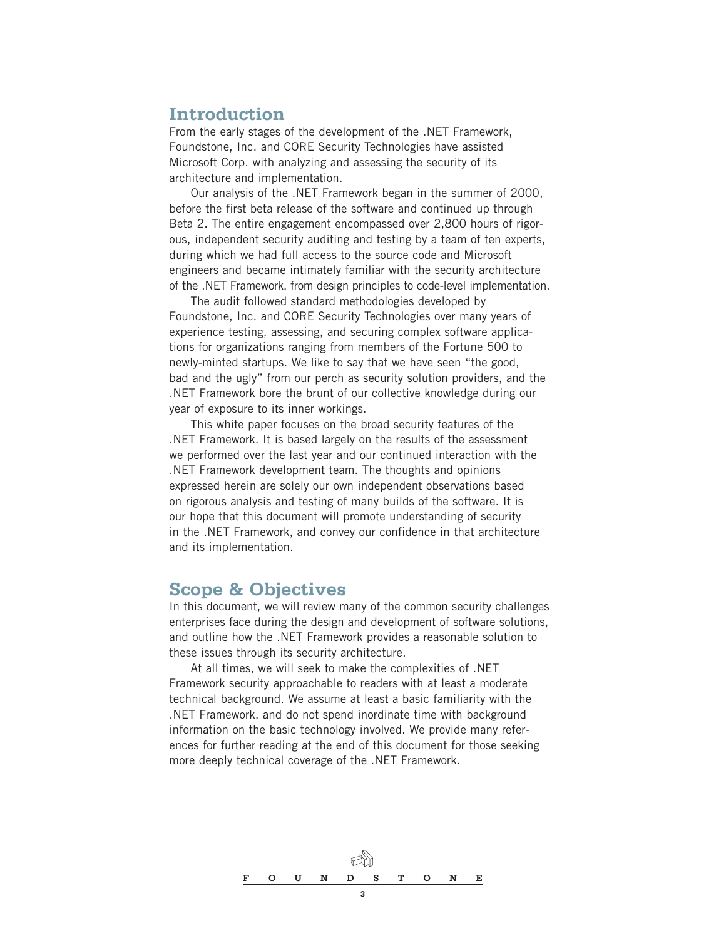## **Introduction**

From the early stages of the development of the .NET Framework, Foundstone, Inc. and CORE Security Technologies have assisted Microsoft Corp. with analyzing and assessing the security of its architecture and implementation.

Our analysis of the .NET Framework began in the summer of 2000, before the first beta release of the software and continued up through Beta 2. The entire engagement encompassed over 2,800 hours of rigorous, independent security auditing and testing by a team of ten experts, during which we had full access to the source code and Microsoft engineers and became intimately familiar with the security architecture of the .NET Framework, from design principles to code-level implementation.

The audit followed standard methodologies developed by Foundstone, Inc. and CORE Security Technologies over many years of experience testing, assessing, and securing complex software applications for organizations ranging from members of the Fortune 500 to newly-minted startups. We like to say that we have seen "the good, bad and the ugly" from our perch as security solution providers, and the .NET Framework bore the brunt of our collective knowledge during our year of exposure to its inner workings.

This white paper focuses on the broad security features of the .NET Framework. It is based largely on the results of the assessment we performed over the last year and our continued interaction with the .NET Framework development team. The thoughts and opinions expressed herein are solely our own independent observations based on rigorous analysis and testing of many builds of the software. It is our hope that this document will promote understanding of security in the .NET Framework, and convey our confidence in that architecture and its implementation.

## **Scope & Objectives**

In this document, we will review many of the common security challenges enterprises face during the design and development of software solutions, and outline how the .NET Framework provides a reasonable solution to these issues through its security architecture.

At all times, we will seek to make the complexities of .NET Framework security approachable to readers with at least a moderate technical background. We assume at least a basic familiarity with the .NET Framework, and do not spend inordinate time with background information on the basic technology involved. We provide many references for further reading at the end of this document for those seeking more deeply technical coverage of the .NET Framework.

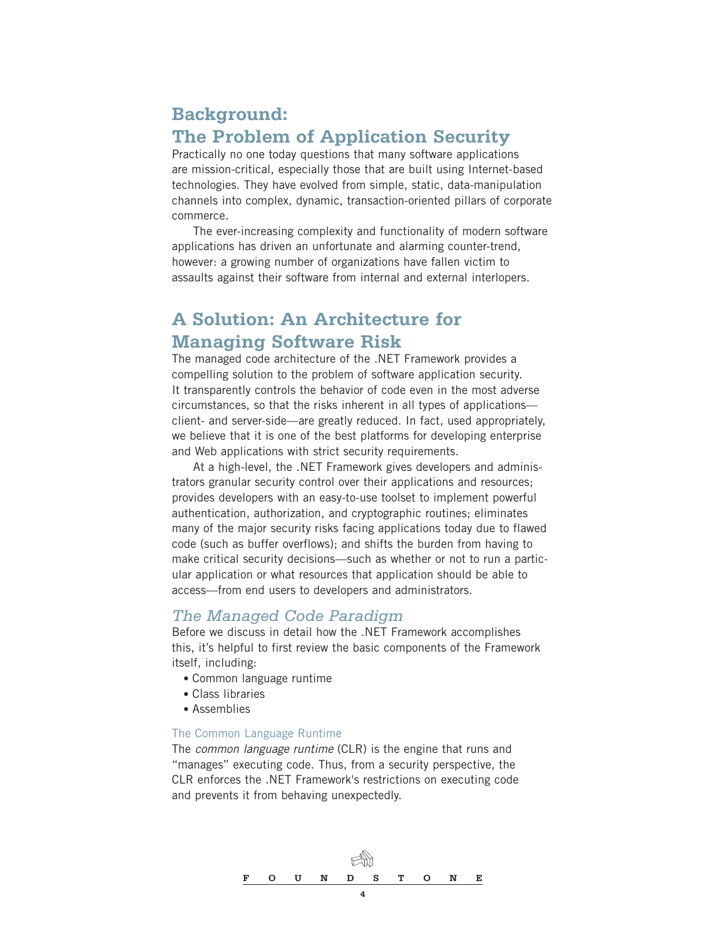## **Background: The Problem of Application Security**

Practically no one today questions that many software applications are mission-critical, especially those that are built using Internet-based technologies. They have evolved from simple, static, data-manipulation channels into complex, dynamic, transaction-oriented pillars of corporate commerce.

The ever-increasing complexity and functionality of modern software applications has driven an unfortunate and alarming counter-trend, however: a growing number of organizations have fallen victim to assaults against their software from internal and external interlopers.

## **A Solution: An Architecture for Managing Software Risk**

The managed code architecture of the .NET Framework provides a compelling solution to the problem of software application security. It transparently controls the behavior of code even in the most adverse circumstances, so that the risks inherent in all types of applications client- and server-side—are greatly reduced. In fact, used appropriately, we believe that it is one of the best platforms for developing enterprise and Web applications with strict security requirements.

At a high-level, the .NET Framework gives developers and administrators granular security control over their applications and resources; provides developers with an easy-to-use toolset to implement powerful authentication, authorization, and cryptographic routines; eliminates many of the major security risks facing applications today due to flawed code (such as buffer overflows); and shifts the burden from having to make critical security decisions—such as whether or not to run a particular application or what resources that application should be able to access—from end users to developers and administrators.

### *The Managed Code Paradigm*

Before we discuss in detail how the .NET Framework accomplishes this, it's helpful to first review the basic components of the Framework itself, including:

- Common language runtime
- Class libraries
- Assemblies

#### The Common Language Runtime

The *common language runtime* (CLR) is the engine that runs and "manages" executing code. Thus, from a security perspective, the CLR enforces the .NET Framework's restrictions on executing code and prevents it from behaving unexpectedly.

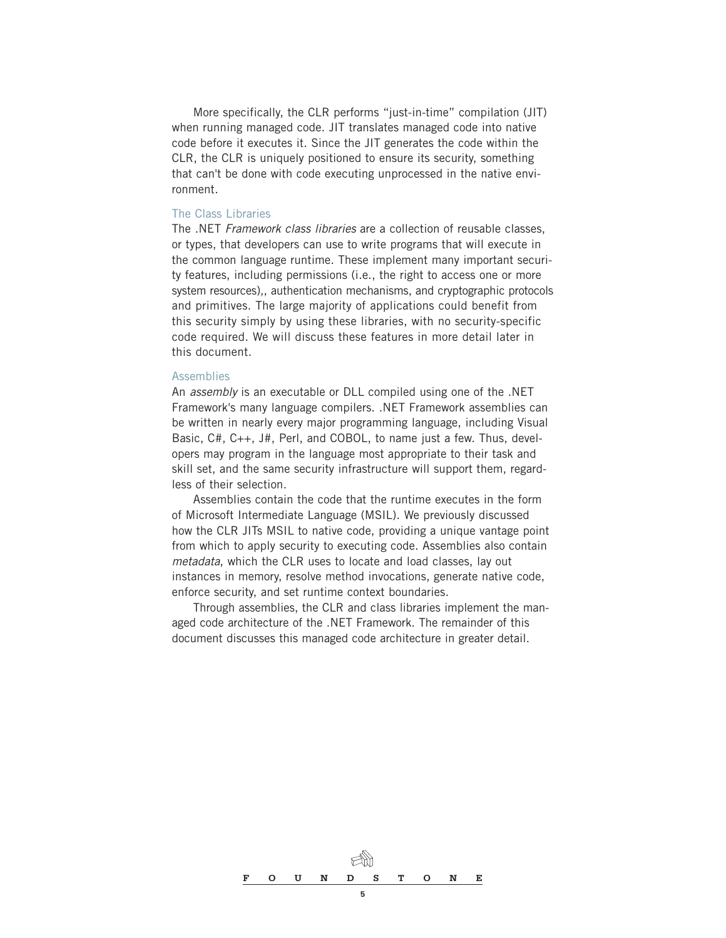More specifically, the CLR performs "just-in-time" compilation (JIT) when running managed code. JIT translates managed code into native code before it executes it. Since the JIT generates the code within the CLR, the CLR is uniquely positioned to ensure its security, something that can't be done with code executing unprocessed in the native environment.

#### The Class Libraries

The .NET *Framework class libraries* are a collection of reusable classes, or types, that developers can use to write programs that will execute in the common language runtime. These implement many important security features, including permissions (i.e., the right to access one or more system resources),, authentication mechanisms, and cryptographic protocols and primitives. The large majority of applications could benefit from this security simply by using these libraries, with no security-specific code required. We will discuss these features in more detail later in this document.

#### Assemblies

An *assembly* is an executable or DLL compiled using one of the .NET Framework's many language compilers. .NET Framework assemblies can be written in nearly every major programming language, including Visual Basic, C#, C++, J#, Perl, and COBOL, to name just a few. Thus, developers may program in the language most appropriate to their task and skill set, and the same security infrastructure will support them, regardless of their selection.

Assemblies contain the code that the runtime executes in the form of Microsoft Intermediate Language (MSIL). We previously discussed how the CLR JITs MSIL to native code, providing a unique vantage point from which to apply security to executing code. Assemblies also contain *metadata*, which the CLR uses to locate and load classes, lay out instances in memory, resolve method invocations, generate native code, enforce security, and set runtime context boundaries.

Through assemblies, the CLR and class libraries implement the managed code architecture of the .NET Framework. The remainder of this document discusses this managed code architecture in greater detail.

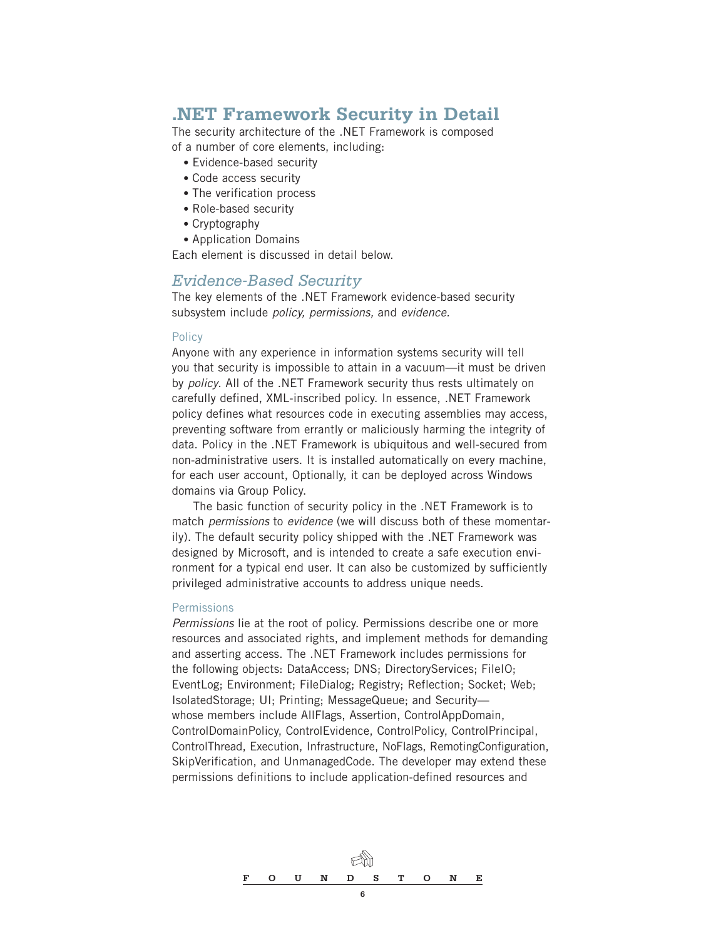## **.NET Framework Security in Detail**

The security architecture of the .NET Framework is composed of a number of core elements, including:

- Evidence-based security
- Code access security
- The verification process
- Role-based security
- Cryptography
- Application Domains

Each element is discussed in detail below.

#### *Evidence-Based Security*

The key elements of the .NET Framework evidence-based security subsystem include *policy, permissions,* and *evidence.*

#### **Policy**

Anyone with any experience in information systems security will tell you that security is impossible to attain in a vacuum—it must be driven by *policy*. All of the .NET Framework security thus rests ultimately on carefully defined, XML-inscribed policy. In essence, .NET Framework policy defines what resources code in executing assemblies may access, preventing software from errantly or maliciously harming the integrity of data. Policy in the .NET Framework is ubiquitous and well-secured from non-administrative users. It is installed automatically on every machine, for each user account, Optionally, it can be deployed across Windows domains via Group Policy.

The basic function of security policy in the .NET Framework is to match *permissions* to *evidence* (we will discuss both of these momentarily). The default security policy shipped with the .NET Framework was designed by Microsoft, and is intended to create a safe execution environment for a typical end user. It can also be customized by sufficiently privileged administrative accounts to address unique needs.

#### **Permissions**

*Permissions* lie at the root of policy. Permissions describe one or more resources and associated rights, and implement methods for demanding and asserting access. The .NET Framework includes permissions for the following objects: DataAccess; DNS; DirectoryServices; FileIO; EventLog; Environment; FileDialog; Registry; Reflection; Socket; Web; IsolatedStorage; UI; Printing; MessageQueue; and Security whose members include AllFlags, Assertion, ControlAppDomain, ControlDomainPolicy, ControlEvidence, ControlPolicy, ControlPrincipal, ControlThread, Execution, Infrastructure, NoFlags, RemotingConfiguration, SkipVerification, and UnmanagedCode. The developer may extend these permissions definitions to include application-defined resources and

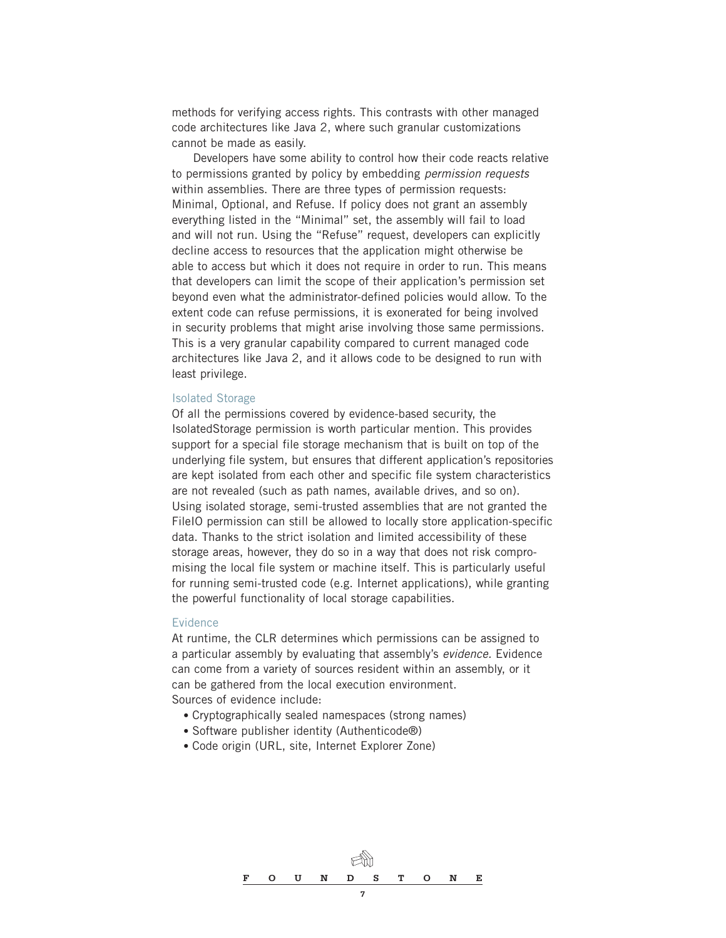methods for verifying access rights. This contrasts with other managed code architectures like Java 2, where such granular customizations cannot be made as easily.

Developers have some ability to control how their code reacts relative to permissions granted by policy by embedding *permission requests* within assemblies. There are three types of permission requests: Minimal, Optional, and Refuse. If policy does not grant an assembly everything listed in the "Minimal" set, the assembly will fail to load and will not run. Using the "Refuse" request, developers can explicitly decline access to resources that the application might otherwise be able to access but which it does not require in order to run. This means that developers can limit the scope of their application's permission set beyond even what the administrator-defined policies would allow. To the extent code can refuse permissions, it is exonerated for being involved in security problems that might arise involving those same permissions. This is a very granular capability compared to current managed code architectures like Java 2, and it allows code to be designed to run with least privilege.

#### Isolated Storage

Of all the permissions covered by evidence-based security, the IsolatedStorage permission is worth particular mention. This provides support for a special file storage mechanism that is built on top of the underlying file system, but ensures that different application's repositories are kept isolated from each other and specific file system characteristics are not revealed (such as path names, available drives, and so on). Using isolated storage, semi-trusted assemblies that are not granted the FileIO permission can still be allowed to locally store application-specific data. Thanks to the strict isolation and limited accessibility of these storage areas, however, they do so in a way that does not risk compromising the local file system or machine itself. This is particularly useful for running semi-trusted code (e.g. Internet applications), while granting the powerful functionality of local storage capabilities.

#### Evidence

At runtime, the CLR determines which permissions can be assigned to a particular assembly by evaluating that assembly's *evidence.* Evidence can come from a variety of sources resident within an assembly, or it can be gathered from the local execution environment. Sources of evidence include:

- Cryptographically sealed namespaces (strong names)
- Software publisher identity (Authenticode®)
- Code origin (URL, site, Internet Explorer Zone)

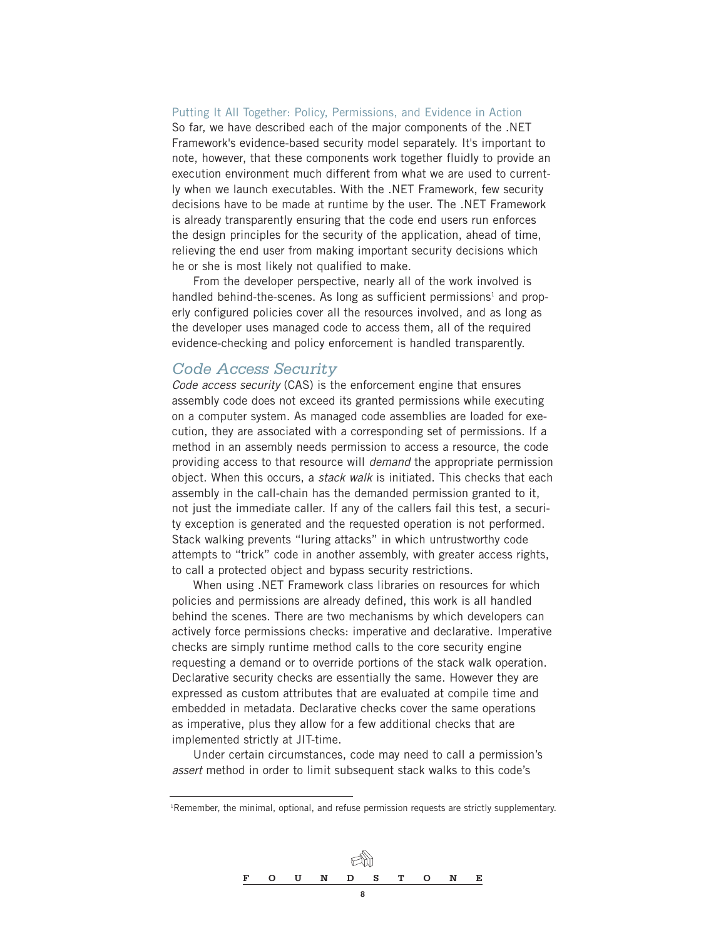#### Putting It All Together: Policy, Permissions, and Evidence in Action

So far, we have described each of the major components of the .NET Framework's evidence-based security model separately. It's important to note, however, that these components work together fluidly to provide an execution environment much different from what we are used to currently when we launch executables. With the .NET Framework, few security decisions have to be made at runtime by the user. The .NET Framework is already transparently ensuring that the code end users run enforces the design principles for the security of the application, ahead of time, relieving the end user from making important security decisions which he or she is most likely not qualified to make.

From the developer perspective, nearly all of the work involved is handled behind-the-scenes. As long as sufficient permissions<sup>1</sup> and properly configured policies cover all the resources involved, and as long as the developer uses managed code to access them, all of the required evidence-checking and policy enforcement is handled transparently.

#### *Code Access Security*

*Code access security* (CAS) is the enforcement engine that ensures assembly code does not exceed its granted permissions while executing on a computer system. As managed code assemblies are loaded for execution, they are associated with a corresponding set of permissions. If a method in an assembly needs permission to access a resource, the code providing access to that resource will *demand* the appropriate permission object. When this occurs, a *stack walk* is initiated. This checks that each assembly in the call-chain has the demanded permission granted to it, not just the immediate caller. If any of the callers fail this test, a security exception is generated and the requested operation is not performed. Stack walking prevents "luring attacks" in which untrustworthy code attempts to "trick" code in another assembly, with greater access rights, to call a protected object and bypass security restrictions.

When using .NET Framework class libraries on resources for which policies and permissions are already defined, this work is all handled behind the scenes. There are two mechanisms by which developers can actively force permissions checks: imperative and declarative. Imperative checks are simply runtime method calls to the core security engine requesting a demand or to override portions of the stack walk operation. Declarative security checks are essentially the same. However they are expressed as custom attributes that are evaluated at compile time and embedded in metadata. Declarative checks cover the same operations as imperative, plus they allow for a few additional checks that are implemented strictly at JIT-time.

Under certain circumstances, code may need to call a permission's *assert* method in order to limit subsequent stack walks to this code's

<sup>1</sup> Remember, the minimal, optional, and refuse permission requests are strictly supplementary.

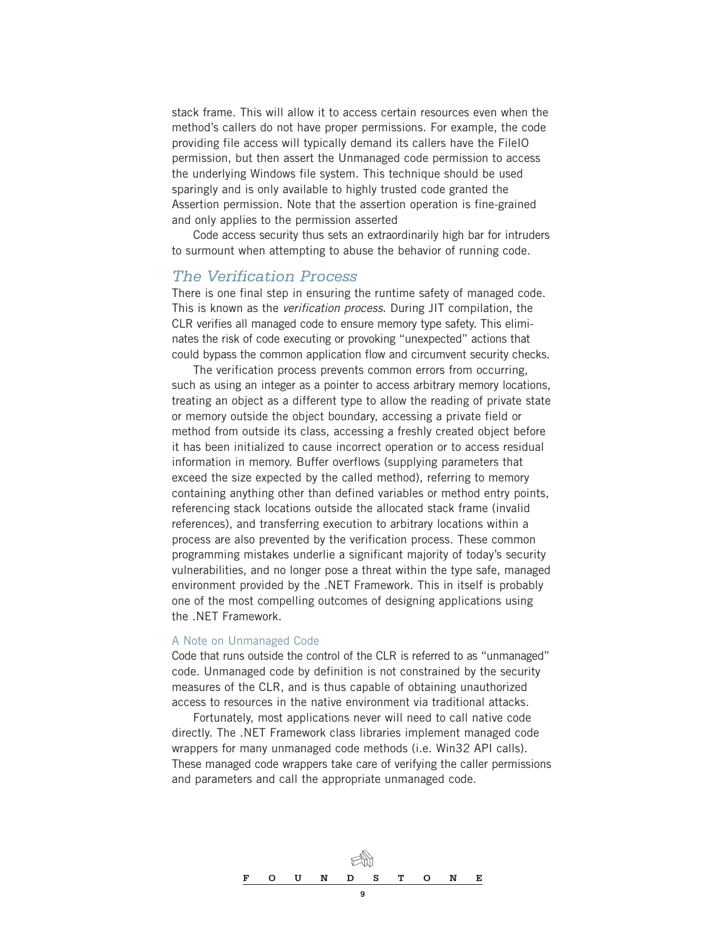stack frame. This will allow it to access certain resources even when the method's callers do not have proper permissions. For example, the code providing file access will typically demand its callers have the FileIO permission, but then assert the Unmanaged code permission to access the underlying Windows file system. This technique should be used sparingly and is only available to highly trusted code granted the Assertion permission. Note that the assertion operation is fine-grained and only applies to the permission asserted

Code access security thus sets an extraordinarily high bar for intruders to surmount when attempting to abuse the behavior of running code.

#### *The Verification Process*

There is one final step in ensuring the runtime safety of managed code. This is known as the *verification process*. During JIT compilation, the CLR verifies all managed code to ensure memory type safety. This eliminates the risk of code executing or provoking "unexpected" actions that could bypass the common application flow and circumvent security checks.

The verification process prevents common errors from occurring, such as using an integer as a pointer to access arbitrary memory locations, treating an object as a different type to allow the reading of private state or memory outside the object boundary, accessing a private field or method from outside its class, accessing a freshly created object before it has been initialized to cause incorrect operation or to access residual information in memory. Buffer overflows (supplying parameters that exceed the size expected by the called method), referring to memory containing anything other than defined variables or method entry points, referencing stack locations outside the allocated stack frame (invalid references), and transferring execution to arbitrary locations within a process are also prevented by the verification process. These common programming mistakes underlie a significant majority of today's security vulnerabilities, and no longer pose a threat within the type safe, managed environment provided by the .NET Framework. This in itself is probably one of the most compelling outcomes of designing applications using the .NET Framework.

#### A Note on Unmanaged Code

Code that runs outside the control of the CLR is referred to as "unmanaged" code. Unmanaged code by definition is not constrained by the security measures of the CLR, and is thus capable of obtaining unauthorized access to resources in the native environment via traditional attacks.

Fortunately, most applications never will need to call native code directly. The .NET Framework class libraries implement managed code wrappers for many unmanaged code methods (i.e. Win32 API calls). These managed code wrappers take care of verifying the caller permissions and parameters and call the appropriate unmanaged code.

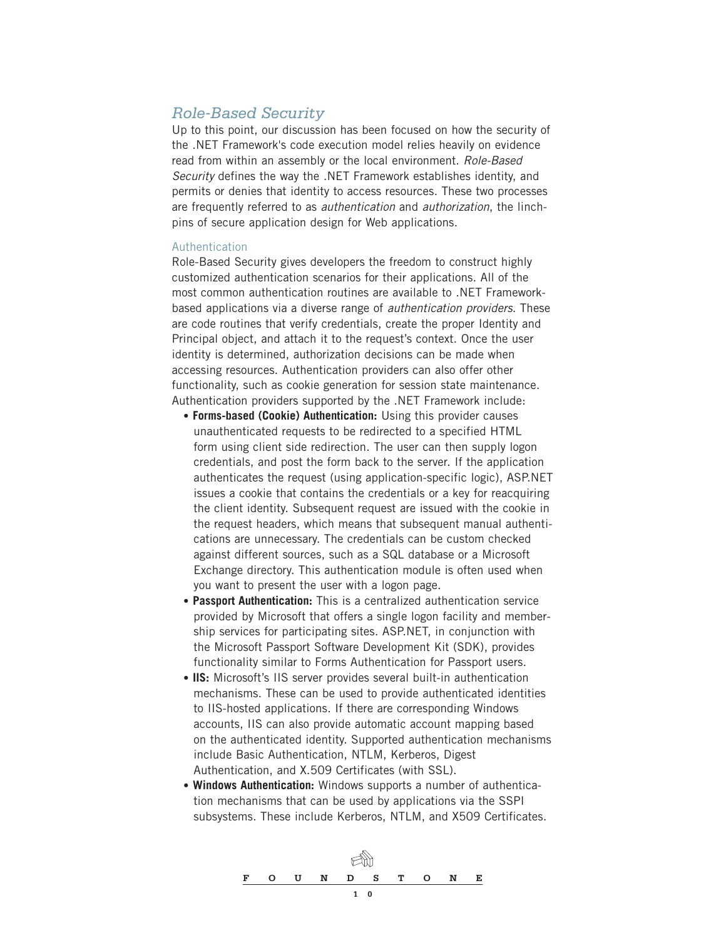## *Role-Based Security*

Up to this point, our discussion has been focused on how the security of the .NET Framework's code execution model relies heavily on evidence read from within an assembly or the local environment. *Role-Based Security* defines the way the .NET Framework establishes identity, and permits or denies that identity to access resources. These two processes are frequently referred to as *authentication* and *authorization*, the linchpins of secure application design for Web applications.

#### **Authentication**

Role-Based Security gives developers the freedom to construct highly customized authentication scenarios for their applications. All of the most common authentication routines are available to .NET Frameworkbased applications via a diverse range of *authentication providers*. These are code routines that verify credentials, create the proper Identity and Principal object, and attach it to the request's context. Once the user identity is determined, authorization decisions can be made when accessing resources. Authentication providers can also offer other functionality, such as cookie generation for session state maintenance. Authentication providers supported by the .NET Framework include:

- **Forms-based (Cookie) Authentication:** Using this provider causes unauthenticated requests to be redirected to a specified HTML form using client side redirection. The user can then supply logon credentials, and post the form back to the server. If the application authenticates the request (using application-specific logic), ASP.NET issues a cookie that contains the credentials or a key for reacquiring the client identity. Subsequent request are issued with the cookie in the request headers, which means that subsequent manual authentications are unnecessary. The credentials can be custom checked against different sources, such as a SQL database or a Microsoft Exchange directory. This authentication module is often used when you want to present the user with a logon page.
- **Passport Authentication:** This is a centralized authentication service provided by Microsoft that offers a single logon facility and membership services for participating sites. ASP.NET, in conjunction with the Microsoft Passport Software Development Kit (SDK), provides functionality similar to Forms Authentication for Passport users.
- **IIS:** Microsoft's IIS server provides several built-in authentication mechanisms. These can be used to provide authenticated identities to IIS-hosted applications. If there are corresponding Windows accounts, IIS can also provide automatic account mapping based on the authenticated identity. Supported authentication mechanisms include Basic Authentication, NTLM, Kerberos, Digest Authentication, and X.509 Certificates (with SSL).
- **Windows Authentication:** Windows supports a number of authentication mechanisms that can be used by applications via the SSPI subsystems. These include Kerberos, NTLM, and X509 Certificates.

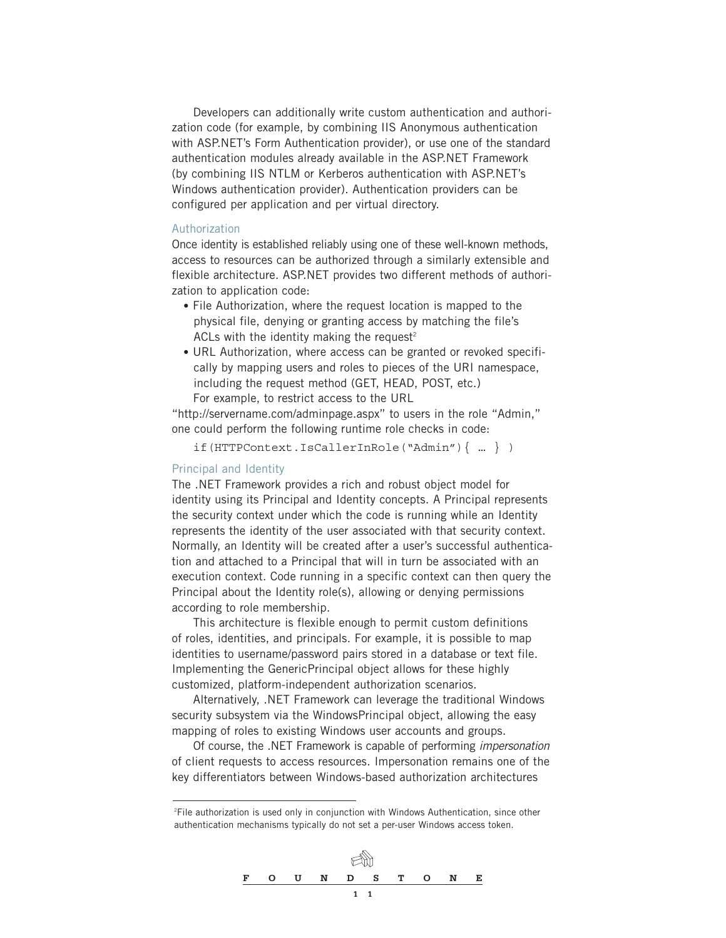Developers can additionally write custom authentication and authorization code (for example, by combining IIS Anonymous authentication with ASP.NET's Form Authentication provider), or use one of the standard authentication modules already available in the ASP.NET Framework (by combining IIS NTLM or Kerberos authentication with ASP.NET's Windows authentication provider). Authentication providers can be configured per application and per virtual directory.

#### Authorization

Once identity is established reliably using one of these well-known methods, access to resources can be authorized through a similarly extensible and flexible architecture. ASP.NET provides two different methods of authorization to application code:

- File Authorization, where the request location is mapped to the physical file, denying or granting access by matching the file's ACLs with the identity making the request<sup>2</sup>
- URL Authorization, where access can be granted or revoked specifically by mapping users and roles to pieces of the URI namespace, including the request method (GET, HEAD, POST, etc.) For example, to restrict access to the URL

"http://servername.com/adminpage.aspx" to users in the role "Admin," one could perform the following runtime role checks in code:

if(HTTPContext.IsCallerInRole("Admin"){ … } )

#### Principal and Identity

The .NET Framework provides a rich and robust object model for identity using its Principal and Identity concepts. A Principal represents the security context under which the code is running while an Identity represents the identity of the user associated with that security context. Normally, an Identity will be created after a user's successful authentication and attached to a Principal that will in turn be associated with an execution context. Code running in a specific context can then query the Principal about the Identity role(s), allowing or denying permissions according to role membership.

This architecture is flexible enough to permit custom definitions of roles, identities, and principals. For example, it is possible to map identities to username/password pairs stored in a database or text file. Implementing the GenericPrincipal object allows for these highly customized, platform-independent authorization scenarios.

Alternatively, .NET Framework can leverage the traditional Windows security subsystem via the WindowsPrincipal object, allowing the easy mapping of roles to existing Windows user accounts and groups.

Of course, the .NET Framework is capable of performing *impersonation* of client requests to access resources. Impersonation remains one of the key differentiators between Windows-based authorization architectures

<sup>2</sup> File authorization is used only in conjunction with Windows Authentication, since other authentication mechanisms typically do not set a per-user Windows access token.

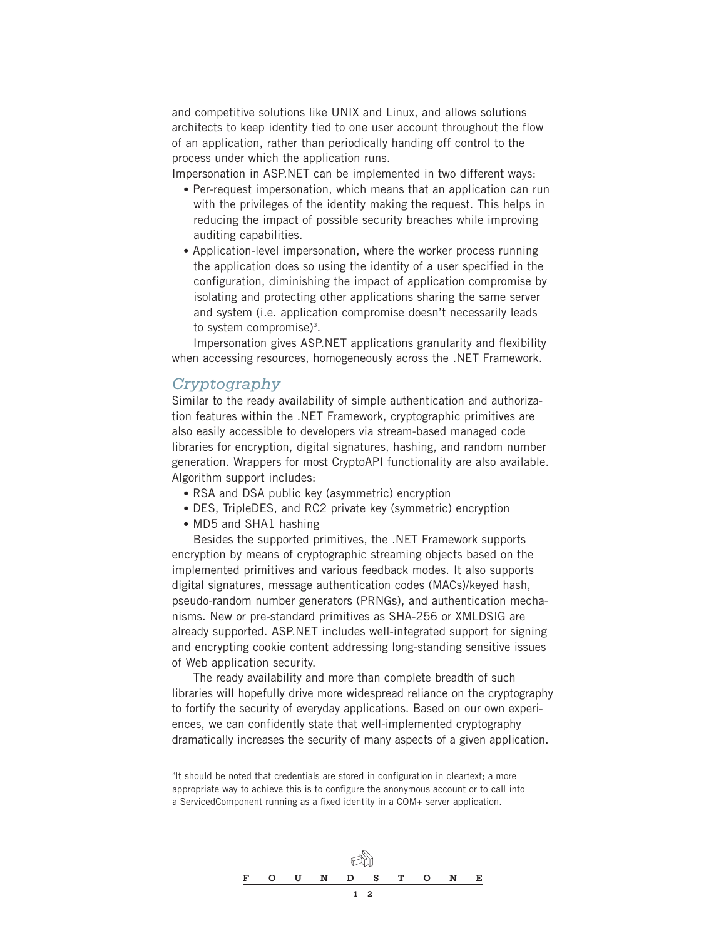and competitive solutions like UNIX and Linux, and allows solutions architects to keep identity tied to one user account throughout the flow of an application, rather than periodically handing off control to the process under which the application runs.

Impersonation in ASP.NET can be implemented in two different ways:

- Per-request impersonation, which means that an application can run with the privileges of the identity making the request. This helps in reducing the impact of possible security breaches while improving auditing capabilities.
- Application-level impersonation, where the worker process running the application does so using the identity of a user specified in the configuration, diminishing the impact of application compromise by isolating and protecting other applications sharing the same server and system (i.e. application compromise doesn't necessarily leads to system compromise)<sup>3</sup>.

Impersonation gives ASP.NET applications granularity and flexibility when accessing resources, homogeneously across the .NET Framework.

### *Cryptography*

Similar to the ready availability of simple authentication and authorization features within the .NET Framework, cryptographic primitives are also easily accessible to developers via stream-based managed code libraries for encryption, digital signatures, hashing, and random number generation. Wrappers for most CryptoAPI functionality are also available. Algorithm support includes:

- RSA and DSA public key (asymmetric) encryption
- DES, TripleDES, and RC2 private key (symmetric) encryption
- MD5 and SHA1 hashing

Besides the supported primitives, the .NET Framework supports encryption by means of cryptographic streaming objects based on the implemented primitives and various feedback modes. It also supports digital signatures, message authentication codes (MACs)/keyed hash, pseudo-random number generators (PRNGs), and authentication mechanisms. New or pre-standard primitives as SHA-256 or XMLDSIG are already supported. ASP.NET includes well-integrated support for signing and encrypting cookie content addressing long-standing sensitive issues of Web application security.

The ready availability and more than complete breadth of such libraries will hopefully drive more widespread reliance on the cryptography to fortify the security of everyday applications. Based on our own experiences, we can confidently state that well-implemented cryptography dramatically increases the security of many aspects of a given application.

<sup>&</sup>lt;sup>3</sup>It should be noted that credentials are stored in configuration in cleartext; a more appropriate way to achieve this is to configure the anonymous account or to call into a ServicedComponent running as a fixed identity in a COM+ server application.

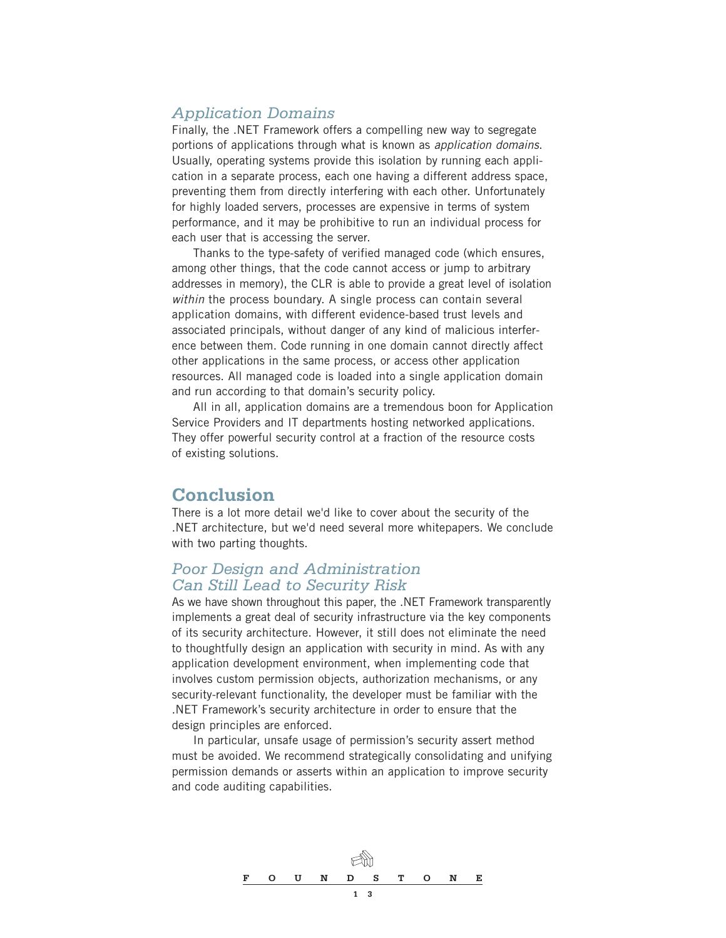## *Application Domains*

Finally, the .NET Framework offers a compelling new way to segregate portions of applications through what is known as *application domains*. Usually, operating systems provide this isolation by running each application in a separate process, each one having a different address space, preventing them from directly interfering with each other. Unfortunately for highly loaded servers, processes are expensive in terms of system performance, and it may be prohibitive to run an individual process for each user that is accessing the server.

Thanks to the type-safety of verified managed code (which ensures, among other things, that the code cannot access or jump to arbitrary addresses in memory), the CLR is able to provide a great level of isolation *within* the process boundary. A single process can contain several application domains, with different evidence-based trust levels and associated principals, without danger of any kind of malicious interference between them. Code running in one domain cannot directly affect other applications in the same process, or access other application resources. All managed code is loaded into a single application domain and run according to that domain's security policy.

All in all, application domains are a tremendous boon for Application Service Providers and IT departments hosting networked applications. They offer powerful security control at a fraction of the resource costs of existing solutions.

## **Conclusion**

There is a lot more detail we'd like to cover about the security of the .NET architecture, but we'd need several more whitepapers. We conclude with two parting thoughts.

## *Poor Design and Administration Can Still Lead to Security Risk*

As we have shown throughout this paper, the .NET Framework transparently implements a great deal of security infrastructure via the key components of its security architecture. However, it still does not eliminate the need to thoughtfully design an application with security in mind. As with any application development environment, when implementing code that involves custom permission objects, authorization mechanisms, or any security-relevant functionality, the developer must be familiar with the .NET Framework's security architecture in order to ensure that the design principles are enforced.

In particular, unsafe usage of permission's security assert method must be avoided. We recommend strategically consolidating and unifying permission demands or asserts within an application to improve security and code auditing capabilities.

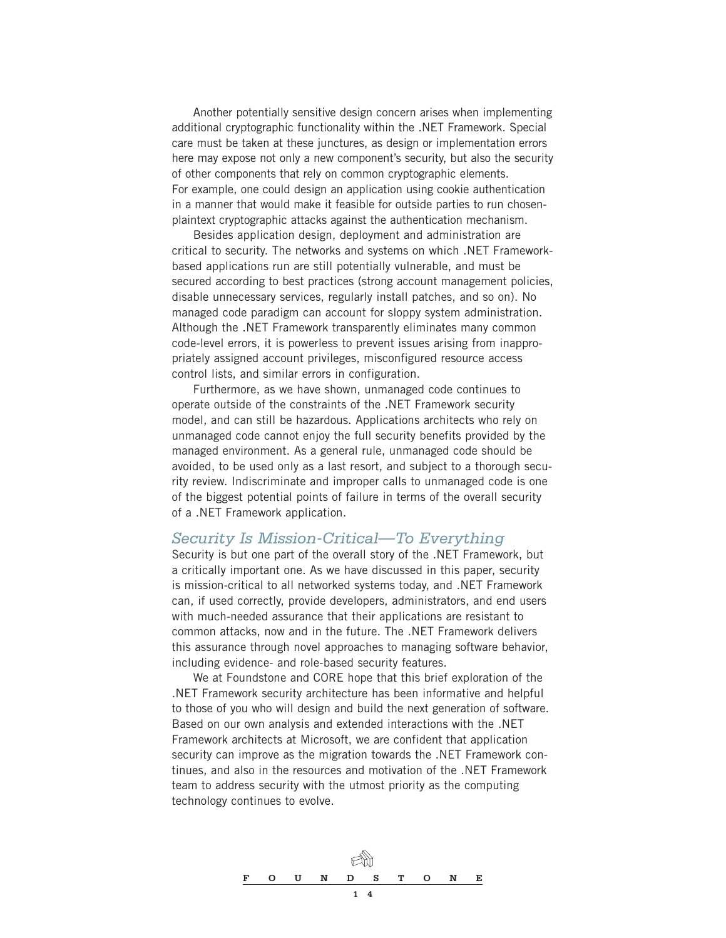Another potentially sensitive design concern arises when implementing additional cryptographic functionality within the .NET Framework. Special care must be taken at these junctures, as design or implementation errors here may expose not only a new component's security, but also the security of other components that rely on common cryptographic elements. For example, one could design an application using cookie authentication in a manner that would make it feasible for outside parties to run chosenplaintext cryptographic attacks against the authentication mechanism.

Besides application design, deployment and administration are critical to security. The networks and systems on which .NET Frameworkbased applications run are still potentially vulnerable, and must be secured according to best practices (strong account management policies, disable unnecessary services, regularly install patches, and so on). No managed code paradigm can account for sloppy system administration. Although the .NET Framework transparently eliminates many common code-level errors, it is powerless to prevent issues arising from inappropriately assigned account privileges, misconfigured resource access control lists, and similar errors in configuration.

Furthermore, as we have shown, unmanaged code continues to operate outside of the constraints of the .NET Framework security model, and can still be hazardous. Applications architects who rely on unmanaged code cannot enjoy the full security benefits provided by the managed environment. As a general rule, unmanaged code should be avoided, to be used only as a last resort, and subject to a thorough security review. Indiscriminate and improper calls to unmanaged code is one of the biggest potential points of failure in terms of the overall security of a .NET Framework application.

#### *Security Is Mission-Critical—To Everything*

Security is but one part of the overall story of the .NET Framework, but a critically important one. As we have discussed in this paper, security is mission-critical to all networked systems today, and .NET Framework can, if used correctly, provide developers, administrators, and end users with much-needed assurance that their applications are resistant to common attacks, now and in the future. The .NET Framework delivers this assurance through novel approaches to managing software behavior, including evidence- and role-based security features.

We at Foundstone and CORE hope that this brief exploration of the .NET Framework security architecture has been informative and helpful to those of you who will design and build the next generation of software. Based on our own analysis and extended interactions with the .NET Framework architects at Microsoft, we are confident that application security can improve as the migration towards the .NET Framework continues, and also in the resources and motivation of the .NET Framework team to address security with the utmost priority as the computing technology continues to evolve.